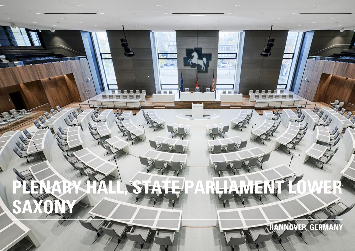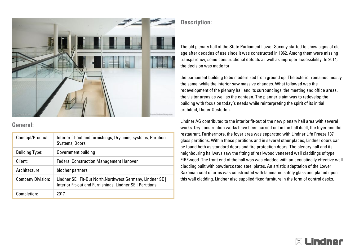

## **General:**

| Concept/Product:         | Interior fit-out and furnishings, Dry lining systems, Partition<br>Systems, Doors                                       |
|--------------------------|-------------------------------------------------------------------------------------------------------------------------|
| <b>Building Type:</b>    | Government building                                                                                                     |
| Client:                  | <b>Federal Construction Management Hanover</b>                                                                          |
| Architecture:            | blocher partners                                                                                                        |
| <b>Company Division:</b> | Lindner SE   Fit-Out North.Northwest Germany, Lindner SE  <br>Interior Fit-out and Furnishings, Lindner SE   Partitions |
| Completion:              | 2017                                                                                                                    |

## **Description:**

The old plenary hall of the State Parliament Lower Saxony started to show signs of old age after decades of use since it was constructed in 1962. Among them were missing transparency, some constructional defects as well as improper accessibility. In 2014, the decision was made for

the parliament building to be modernised from ground up. The exterior remained mostly the same, while the interior saw massive changes. What followed was the redevelopment of the plenary hall and its surroundings, the meeting and office areas, the visitor areas as well as the canteen. The planner´s aim was to redevelop the building with focus on today´s needs while reinterpreting the spirit of its initial architect, Dieter Oesterlen.

Lindner AG contributed to the interior fit-out of the new plenary hall area with several works. Dry construction works have been carried out in the hall itself, the foyer and the restaurant. Furthermore, the foyer area was separated with Lindner Life Freeze 137 glass partitions. Within these partitions and in several other places, Lindner doors can be found both as standard doors and fire protection doors. The plenary hall and its neighbouring hallways saw the fitting of real-wood veneered wall claddings of type FIREwood. The front end of the hall was was cladded with an acoustically effective wall cladding built with powdercoated steel plates. An artistic adaptation of the Lower Saxonian coat of arms was constructed with laminated safety glass and placed upon this wall cladding. Lindner also supplied fixed furniture in the form of control desks.

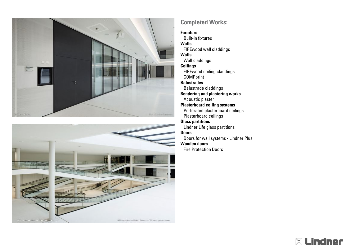



## **Completed Works:**

**Furniture** Built-in fixtures **Walls** FIREwood wall claddings **Walls** Wall claddings **Ceilings** FIREwood ceiling claddings COMPprint **Balustrades** Balustrade claddings

**Rendering and plastering works** Acoustic plaster **Plasterboard ceiling systems** Perforated plasterboard ceilings Plasterboard ceilings **Glass partitions** Lindner Life glass partitions **Doors** Doors for wall systems - Lindner Plus **Wooden doors**

Fire Protection Doors

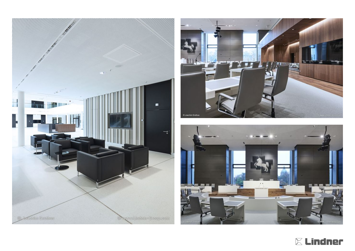





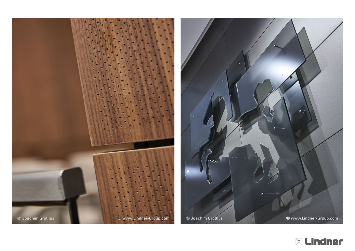

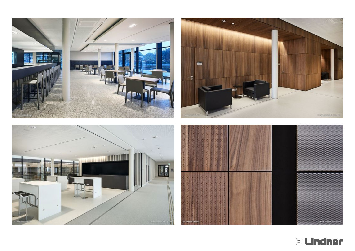